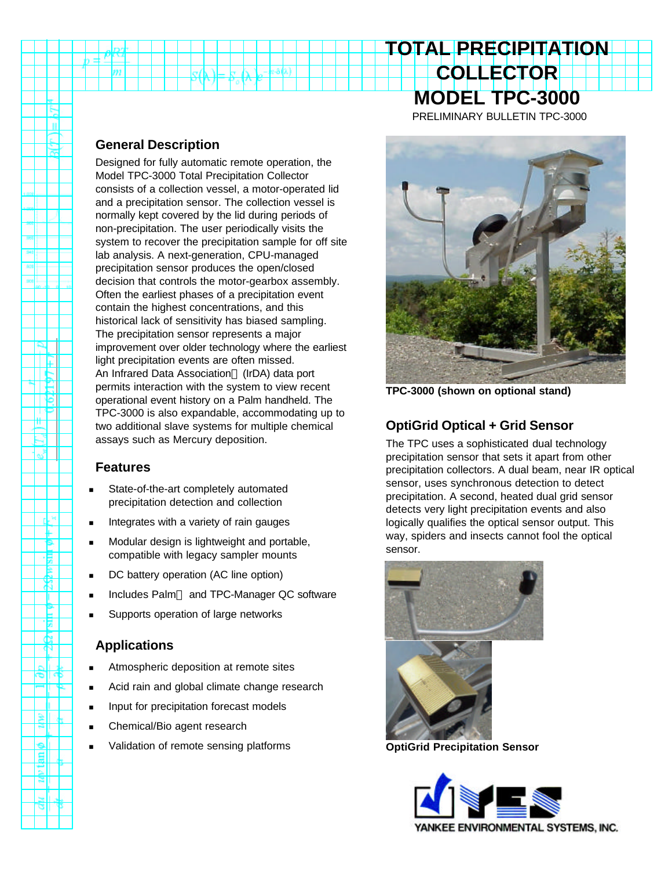# **COLLECTOR MODEL TPC-3000**

**TOTAL PRECIPITATION**

PRELIMINARY BULLETIN TPC-3000

#### **General Description**

m

 $\mathbf{u}$ 

ΠĘ

 $\frac{1}{\frac{1}{2}}$ 

 $e_x^*$ 

rk H Ŧ ۴ 惕 P X Т **Pain 9** Æ

≋ll

العا

Designed for fully automatic remote operation, the Model TPC-3000 Total Precipitation Collector consists of a collection vessel, a motor-operated lid and a precipitation sensor. The collection vessel is normally kept covered by the lid during periods of non-precipitation. The user periodically visits the system to recover the precipitation sample for off site lab analysis. A next-generation, CPU-managed precipitation sensor produces the open/closed decision that controls the motor-gearbox assembly. Often the earliest phases of a precipitation event contain the highest concentrations, and this historical lack of sensitivity has biased sampling. The precipitation sensor represents a major improvement over older technology where the earliest light precipitation events are often missed. An Infrared Data Association<sup>®</sup> (IrDA) data port permits interaction with the system to view recent operational event history on a Palm handheld. The TPC-3000 is also expandable, accommodating up to two additional slave systems for multiple chemical assays such as Mercury deposition.

#### **Features**

- State-of-the-art completely automated precipitation detection and collection
- Integrates with a variety of rain gauges
- Modular design is lightweight and portable, compatible with legacy sampler mounts
- DC battery operation (AC line option)
- Includes Palm™ and TPC-Manager QC software
- Supports operation of large networks

# **Applications**

- Atmospheric deposition at remote sites
- Acid rain and global climate change research
- Input for precipitation forecast models
- Chemical/Bio agent research
- Validation of remote sensing platforms



**TPC-3000 (shown on optional stand)**

# **OptiGrid Optical + Grid Sensor**

The TPC uses a sophisticated dual technology precipitation sensor that sets it apart from other precipitation collectors. A dual beam, near IR optical sensor, uses synchronous detection to detect precipitation. A second, heated dual grid sensor detects very light precipitation events and also logically qualifies the optical sensor output. This way, spiders and insects cannot fool the optical sensor.



**OptiGrid Precipitation Sensor**

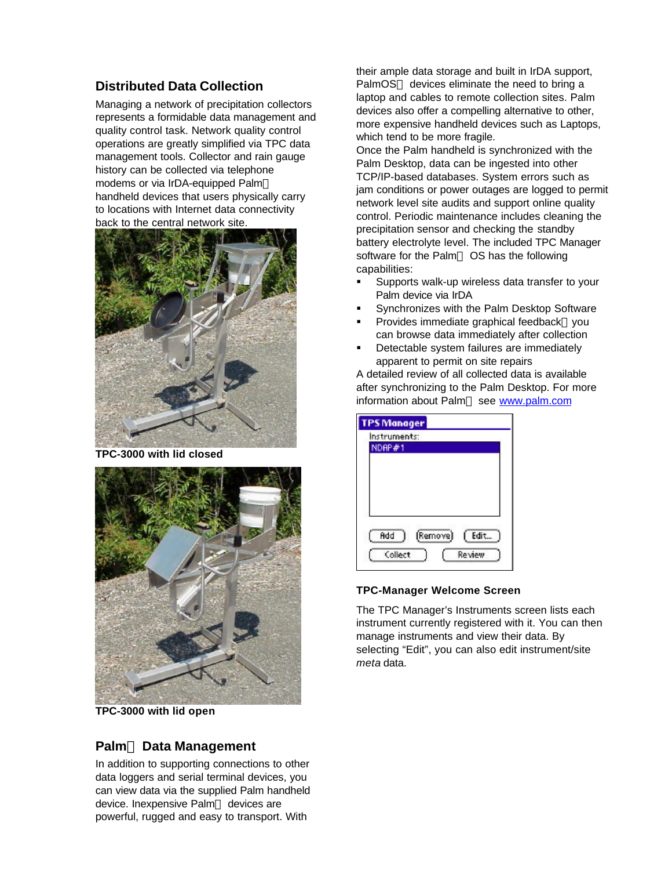### **Distributed Data Collection**

Managing a network of precipitation collectors represents a formidable data management and quality control task. Network quality control operations are greatly simplified via TPC data management tools. Collector and rain gauge history can be collected via telephone modems or via IrDA-equipped Palm™ handheld devices that users physically carry to locations with Internet data connectivity back to the central network site.



**TPC-3000 with lid closed**



**TPC-3000 with lid open**

#### **Palmä Data Management**

In addition to supporting connections to other data loggers and serial terminal devices, you can view data via the supplied Palm handheld device. Inexpensive Palm™ devices are powerful, rugged and easy to transport. With

their ample data storage and built in IrDA support, PalmOS™ devices eliminate the need to bring a laptop and cables to remote collection sites. Palm devices also offer a compelling alternative to other, more expensive handheld devices such as Laptops, which tend to be more fragile.

Once the Palm handheld is synchronized with the Palm Desktop, data can be ingested into other TCP/IP-based databases. System errors such as jam conditions or power outages are logged to permit network level site audits and support online quality control. Periodic maintenance includes cleaning the precipitation sensor and checking the standby battery electrolyte level. The included TPC Manager software for the Palm<sup>™</sup> OS has the following capabilities:

- ß Supports walk-up wireless data transfer to your Palm device via IrDA
- ß Synchronizes with the Palm Desktop Software
- Provides immediate graphical feedback-you can browse data immediately after collection
- ß Detectable system failures are immediately apparent to permit on site repairs

A detailed review of all collected data is available after synchronizing to the Palm Desktop. For more information about Palm™ see www.palm.com

| <b>TPS Manager</b> |          |               |
|--------------------|----------|---------------|
| Instruments:       |          |               |
| NDAP#1             |          |               |
|                    |          |               |
|                    |          |               |
|                    |          |               |
|                    |          |               |
|                    |          |               |
|                    |          |               |
|                    |          |               |
| Add                | (Remove) | Edit          |
| Collect            |          | <b>Review</b> |
|                    |          |               |

#### **TPC-Manager Welcome Screen**

The TPC Manager's Instruments screen lists each instrument currently registered with it. You can then manage instruments and view their data. By selecting "Edit", you can also edit instrument/site *meta* data.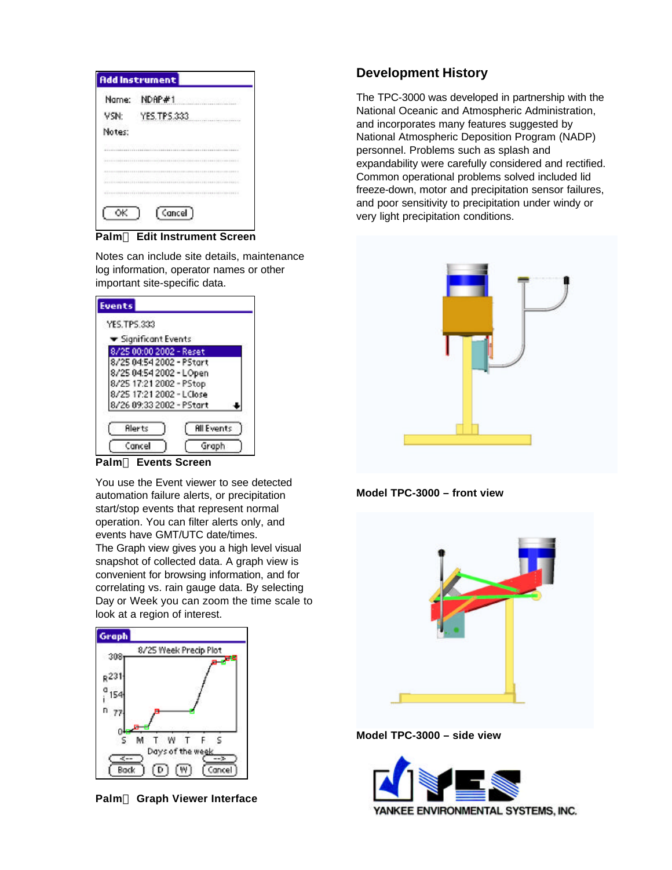|        | <b>Add Instrument</b>                                                                                                                                                                                                                |
|--------|--------------------------------------------------------------------------------------------------------------------------------------------------------------------------------------------------------------------------------------|
| Name:  | NDAP#1                                                                                                                                                                                                                               |
| VSN:   | YES.TPS.333<br><b>CONTRACTOR</b><br><b>BUT I ROLL CORP. I CARD A RIVER IN</b><br>승규는 부분들을 하루 사람 아름다운 것 같아요. 이 아이들이 있다                                                                                                                |
| Notes: |                                                                                                                                                                                                                                      |
|        | AN SAN DI MARAKAT MANGA KATA MATEMAT NA MARAKAT NA MANGA MASA NA MA                                                                                                                                                                  |
|        |                                                                                                                                                                                                                                      |
|        |                                                                                                                                                                                                                                      |
|        | <u>Mark Therman Mark The Company of the Company of the Company of the Company of the Company of the Company of the Company of the Company of the Company of the Company of the Company of the Company of the Company of the Comp</u> |
|        | Cancel <sup>1</sup>                                                                                                                                                                                                                  |

**Palmä Edit Instrument Screen**

Notes can include site details, maintenance log information, operator names or other important site-specific data.

| <b>YES.TPS.333</b>                       |  |
|------------------------------------------|--|
|                                          |  |
| $\blacktriangleright$ Significant Events |  |
| 8/25 00:00 2002 - Reset                  |  |
| 8/25 04:54 2002 - PStart                 |  |
| 8/25 04:54 2002 - LOpen                  |  |
| 8/25 17:21 2002 - PStop                  |  |
| 8/25 17:21 2002 - LClose                 |  |
| 8/26 09:33 2002 - PStart                 |  |

**Palmä Events Screen**

You use the Event viewer to see detected automation failure alerts, or precipitation start/stop events that represent normal operation. You can filter alerts only, and events have GMT/UTC date/times. The Graph view gives you a high level visual snapshot of collected data. A graph view is convenient for browsing information, and for correlating vs. rain gauge data. By selecting Day or Week you can zoom the time scale to look at a region of interest.



**Palmä Graph Viewer Interface**

# **Development History**

The TPC-3000 was developed in partnership with the National Oceanic and Atmospheric Administration, and incorporates many features suggested by National Atmospheric Deposition Program (NADP) personnel. Problems such as splash and expandability were carefully considered and rectified. Common operational problems solved included lid freeze-down, motor and precipitation sensor failures, and poor sensitivity to precipitation under windy or very light precipitation conditions.



**Model TPC-3000 – front view**



**Model TPC-3000 – side view**